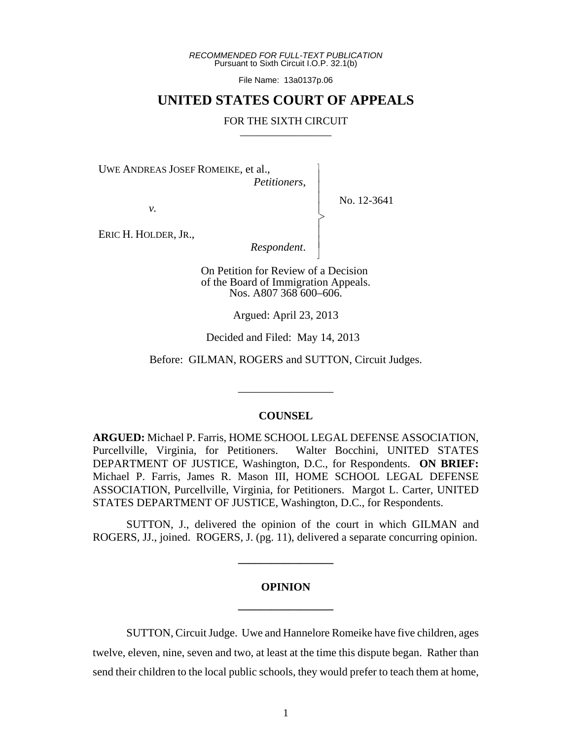*RECOMMENDED FOR FULL-TEXT PUBLICATION* Pursuant to Sixth Circuit I.O.P. 32.1(b)

File Name: 13a0137p.06

## **UNITED STATES COURT OF APPEALS**

#### FOR THE SIXTH CIRCUIT

 $\overline{\phantom{a}}$ - - - > , - - N

UWE ANDREAS JOSEF ROMEIKE, et al.,

*Petitioners*,

*v.*

No. 12-3641

ERIC H. HOLDER, JR.,

*Respondent*.

On Petition for Review of a Decision of the Board of Immigration Appeals. Nos. A807 368 600–606.

Argued: April 23, 2013

Decided and Filed: May 14, 2013

Before: GILMAN, ROGERS and SUTTON, Circuit Judges.

\_\_\_\_\_\_\_\_\_\_\_\_\_\_\_\_\_

#### **COUNSEL**

**ARGUED:** Michael P. Farris, HOME SCHOOL LEGAL DEFENSE ASSOCIATION, Purcellville, Virginia, for Petitioners. Walter Bocchini, UNITED STATES DEPARTMENT OF JUSTICE, Washington, D.C., for Respondents. **ON BRIEF:** Michael P. Farris, James R. Mason III, HOME SCHOOL LEGAL DEFENSE ASSOCIATION, Purcellville, Virginia, for Petitioners. Margot L. Carter, UNITED STATES DEPARTMENT OF JUSTICE, Washington, D.C., for Respondents.

SUTTON, J., delivered the opinion of the court in which GILMAN and ROGERS, JJ., joined. ROGERS, J. (pg. 11), delivered a separate concurring opinion.

**\_\_\_\_\_\_\_\_\_\_\_\_\_\_\_\_\_**

# **OPINION \_\_\_\_\_\_\_\_\_\_\_\_\_\_\_\_\_**

SUTTON, Circuit Judge. Uwe and Hannelore Romeike have five children, ages twelve, eleven, nine, seven and two, at least at the time this dispute began. Rather than send their children to the local public schools, they would prefer to teach them at home,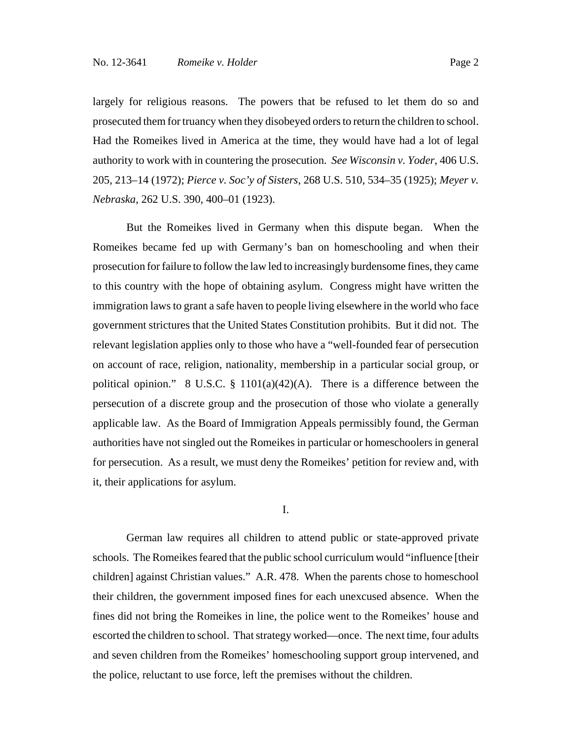largely for religious reasons. The powers that be refused to let them do so and prosecuted them for truancy when they disobeyed orders to return the children to school. Had the Romeikes lived in America at the time, they would have had a lot of legal authority to work with in countering the prosecution. *See Wisconsin v. Yoder*, 406 U.S. 205, 213–14 (1972); *Pierce v. Soc'y of Sisters*, 268 U.S. 510, 534–35 (1925); *Meyer v. Nebraska*, 262 U.S. 390, 400–01 (1923).

But the Romeikes lived in Germany when this dispute began. When the Romeikes became fed up with Germany's ban on homeschooling and when their prosecution for failure to follow the law led to increasingly burdensome fines, they came to this country with the hope of obtaining asylum. Congress might have written the immigration laws to grant a safe haven to people living elsewhere in the world who face government strictures that the United States Constitution prohibits. But it did not. The relevant legislation applies only to those who have a "well-founded fear of persecution on account of race, religion, nationality, membership in a particular social group, or political opinion." 8 U.S.C. § 1101(a)(42)(A). There is a difference between the persecution of a discrete group and the prosecution of those who violate a generally applicable law. As the Board of Immigration Appeals permissibly found, the German authorities have not singled out the Romeikes in particular or homeschoolers in general for persecution. As a result, we must deny the Romeikes' petition for review and, with it, their applications for asylum.

### I.

German law requires all children to attend public or state-approved private schools. The Romeikes feared that the public school curriculum would "influence [their children] against Christian values." A.R. 478. When the parents chose to homeschool their children, the government imposed fines for each unexcused absence. When the fines did not bring the Romeikes in line, the police went to the Romeikes' house and escorted the children to school. That strategy worked—once. The next time, four adults and seven children from the Romeikes' homeschooling support group intervened, and the police, reluctant to use force, left the premises without the children.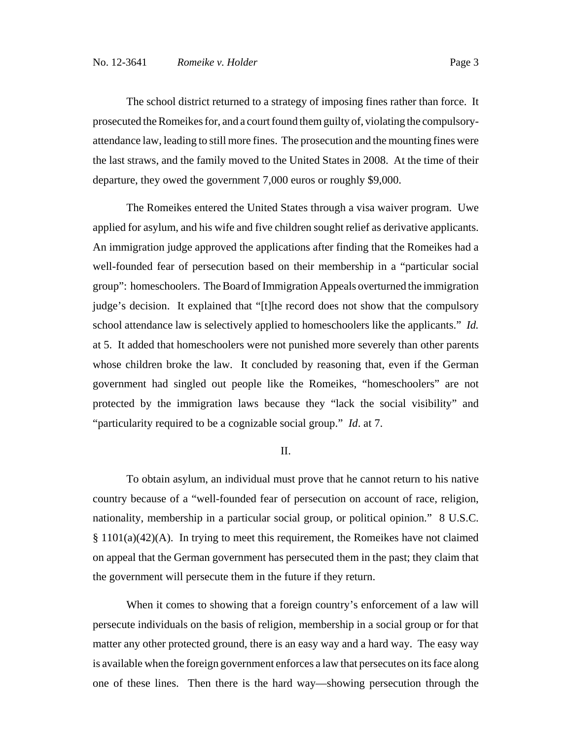The school district returned to a strategy of imposing fines rather than force. It prosecuted the Romeikes for, and a court found them guilty of, violating the compulsoryattendance law, leading to still more fines. The prosecution and the mounting fines were the last straws, and the family moved to the United States in 2008. At the time of their departure, they owed the government 7,000 euros or roughly \$9,000.

The Romeikes entered the United States through a visa waiver program. Uwe applied for asylum, and his wife and five children sought relief as derivative applicants. An immigration judge approved the applications after finding that the Romeikes had a well-founded fear of persecution based on their membership in a "particular social group": homeschoolers. The Board of Immigration Appeals overturned the immigration judge's decision. It explained that "[t]he record does not show that the compulsory school attendance law is selectively applied to homeschoolers like the applicants." *Id.* at 5. It added that homeschoolers were not punished more severely than other parents whose children broke the law. It concluded by reasoning that, even if the German government had singled out people like the Romeikes, "homeschoolers" are not protected by the immigration laws because they "lack the social visibility" and "particularity required to be a cognizable social group." *Id*. at 7.

#### II.

To obtain asylum, an individual must prove that he cannot return to his native country because of a "well-founded fear of persecution on account of race, religion, nationality, membership in a particular social group, or political opinion." 8 U.S.C. § 1101(a)(42)(A). In trying to meet this requirement, the Romeikes have not claimed on appeal that the German government has persecuted them in the past; they claim that the government will persecute them in the future if they return.

When it comes to showing that a foreign country's enforcement of a law will persecute individuals on the basis of religion, membership in a social group or for that matter any other protected ground, there is an easy way and a hard way. The easy way is available when the foreign government enforces a law that persecutes on its face along one of these lines. Then there is the hard way—showing persecution through the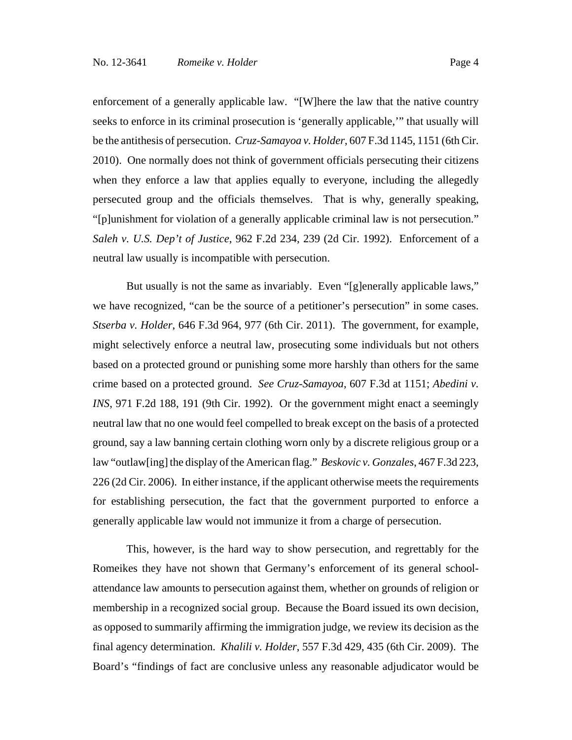enforcement of a generally applicable law. "[W]here the law that the native country seeks to enforce in its criminal prosecution is 'generally applicable,'" that usually will be the antithesis of persecution. *Cruz-Samayoa v. Holder*, 607 F.3d 1145, 1151 (6th Cir. 2010). One normally does not think of government officials persecuting their citizens when they enforce a law that applies equally to everyone, including the allegedly persecuted group and the officials themselves. That is why, generally speaking, "[p]unishment for violation of a generally applicable criminal law is not persecution." *Saleh v. U.S. Dep't of Justice*, 962 F.2d 234, 239 (2d Cir. 1992). Enforcement of a neutral law usually is incompatible with persecution.

But usually is not the same as invariably. Even "[g]enerally applicable laws," we have recognized, "can be the source of a petitioner's persecution" in some cases. *Stserba v. Holder*, 646 F.3d 964, 977 (6th Cir. 2011). The government, for example, might selectively enforce a neutral law, prosecuting some individuals but not others based on a protected ground or punishing some more harshly than others for the same crime based on a protected ground. *See Cruz-Samayoa*, 607 F.3d at 1151; *Abedini v. INS*, 971 F.2d 188, 191 (9th Cir. 1992). Or the government might enact a seemingly neutral law that no one would feel compelled to break except on the basis of a protected ground, say a law banning certain clothing worn only by a discrete religious group or a law "outlaw[ing] the display of the American flag." *Beskovic v. Gonzales*, 467 F.3d 223, 226 (2d Cir. 2006). In either instance, if the applicant otherwise meets the requirements for establishing persecution, the fact that the government purported to enforce a generally applicable law would not immunize it from a charge of persecution.

This, however, is the hard way to show persecution, and regrettably for the Romeikes they have not shown that Germany's enforcement of its general schoolattendance law amounts to persecution against them, whether on grounds of religion or membership in a recognized social group. Because the Board issued its own decision, as opposed to summarily affirming the immigration judge, we review its decision as the final agency determination. *Khalili v. Holder*, 557 F.3d 429, 435 (6th Cir. 2009). The Board's "findings of fact are conclusive unless any reasonable adjudicator would be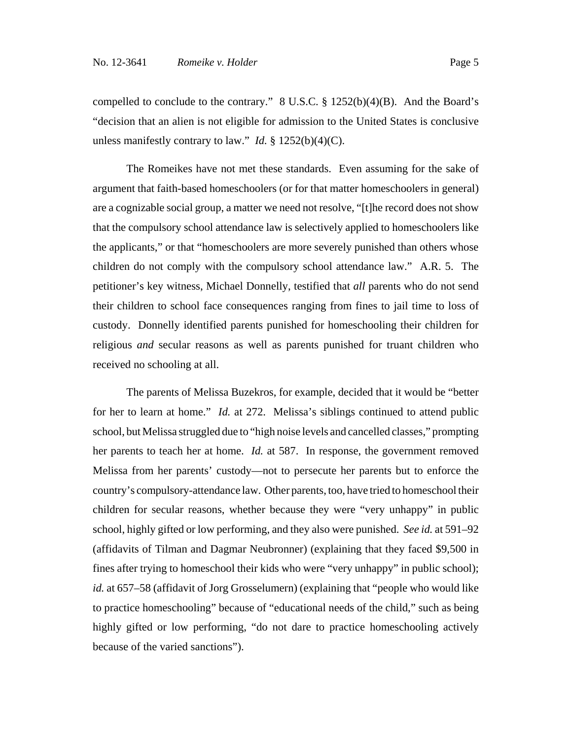compelled to conclude to the contrary."  $8 \text{ U.S.C.}$   $\frac{8}{9}$  1252(b)(4)(B). And the Board's "decision that an alien is not eligible for admission to the United States is conclusive unless manifestly contrary to law." *Id.* § 1252(b)(4)(C).

The Romeikes have not met these standards. Even assuming for the sake of argument that faith-based homeschoolers (or for that matter homeschoolers in general) are a cognizable social group, a matter we need not resolve, "[t]he record does not show that the compulsory school attendance law is selectively applied to homeschoolers like the applicants," or that "homeschoolers are more severely punished than others whose children do not comply with the compulsory school attendance law." A.R. 5. The petitioner's key witness, Michael Donnelly, testified that *all* parents who do not send their children to school face consequences ranging from fines to jail time to loss of custody. Donnelly identified parents punished for homeschooling their children for religious *and* secular reasons as well as parents punished for truant children who received no schooling at all.

The parents of Melissa Buzekros, for example, decided that it would be "better for her to learn at home." *Id.* at 272. Melissa's siblings continued to attend public school, but Melissa struggled due to "high noise levels and cancelled classes," prompting her parents to teach her at home. *Id.* at 587. In response, the government removed Melissa from her parents' custody—not to persecute her parents but to enforce the country's compulsory-attendance law. Other parents, too, have tried to homeschool their children for secular reasons, whether because they were "very unhappy" in public school, highly gifted or low performing, and they also were punished. *See id.* at 591–92 (affidavits of Tilman and Dagmar Neubronner) (explaining that they faced \$9,500 in fines after trying to homeschool their kids who were "very unhappy" in public school); *id.* at 657–58 (affidavit of Jorg Grosselumern) (explaining that "people who would like to practice homeschooling" because of "educational needs of the child," such as being highly gifted or low performing, "do not dare to practice homeschooling actively because of the varied sanctions").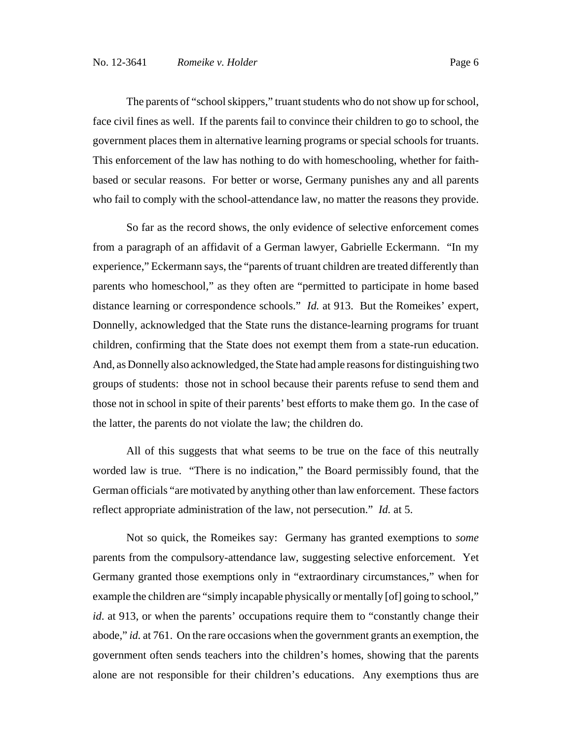The parents of "school skippers," truant students who do not show up for school, face civil fines as well. If the parents fail to convince their children to go to school, the government places them in alternative learning programs or special schools for truants. This enforcement of the law has nothing to do with homeschooling, whether for faithbased or secular reasons. For better or worse, Germany punishes any and all parents who fail to comply with the school-attendance law, no matter the reasons they provide.

So far as the record shows, the only evidence of selective enforcement comes from a paragraph of an affidavit of a German lawyer, Gabrielle Eckermann. "In my experience," Eckermann says, the "parents of truant children are treated differently than parents who homeschool," as they often are "permitted to participate in home based distance learning or correspondence schools." *Id.* at 913. But the Romeikes' expert, Donnelly, acknowledged that the State runs the distance-learning programs for truant children, confirming that the State does not exempt them from a state-run education. And, as Donnelly also acknowledged, the State had ample reasons for distinguishing two groups of students: those not in school because their parents refuse to send them and those not in school in spite of their parents' best efforts to make them go. In the case of the latter, the parents do not violate the law; the children do.

All of this suggests that what seems to be true on the face of this neutrally worded law is true. "There is no indication," the Board permissibly found, that the German officials "are motivated by anything other than law enforcement. These factors reflect appropriate administration of the law, not persecution." *Id.* at 5.

Not so quick, the Romeikes say: Germany has granted exemptions to *some* parents from the compulsory-attendance law, suggesting selective enforcement. Yet Germany granted those exemptions only in "extraordinary circumstances," when for example the children are "simply incapable physically or mentally [of] going to school," *id*. at 913, or when the parents' occupations require them to "constantly change their abode," *id.* at 761. On the rare occasions when the government grants an exemption, the government often sends teachers into the children's homes, showing that the parents alone are not responsible for their children's educations. Any exemptions thus are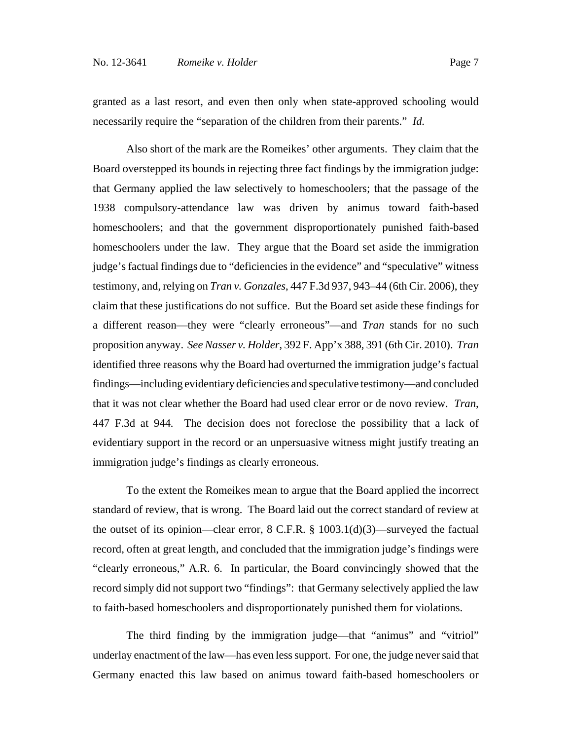granted as a last resort, and even then only when state-approved schooling would necessarily require the "separation of the children from their parents." *Id.*

Also short of the mark are the Romeikes' other arguments. They claim that the Board overstepped its bounds in rejecting three fact findings by the immigration judge: that Germany applied the law selectively to homeschoolers; that the passage of the 1938 compulsory-attendance law was driven by animus toward faith-based homeschoolers; and that the government disproportionately punished faith-based homeschoolers under the law. They argue that the Board set aside the immigration judge's factual findings due to "deficiencies in the evidence" and "speculative" witness testimony, and, relying on *Tran v. Gonzales*, 447 F.3d 937, 943–44 (6th Cir. 2006), they claim that these justifications do not suffice. But the Board set aside these findings for a different reason—they were "clearly erroneous"—and *Tran* stands for no such proposition anyway. *See Nasser v. Holder*, 392 F. App'x 388, 391 (6th Cir. 2010). *Tran* identified three reasons why the Board had overturned the immigration judge's factual findings—including evidentiary deficiencies and speculative testimony—and concluded that it was not clear whether the Board had used clear error or de novo review. *Tran*, 447 F.3d at 944*.* The decision does not foreclose the possibility that a lack of evidentiary support in the record or an unpersuasive witness might justify treating an immigration judge's findings as clearly erroneous.

To the extent the Romeikes mean to argue that the Board applied the incorrect standard of review, that is wrong. The Board laid out the correct standard of review at the outset of its opinion—clear error,  $8 \text{ C.F.R.}$ ,  $\frac{8 \text{ 1003.1(d)(3)}{\text{0.8}}$  surveyed the factual record, often at great length, and concluded that the immigration judge's findings were "clearly erroneous," A.R. 6. In particular, the Board convincingly showed that the record simply did not support two "findings": that Germany selectively applied the law to faith-based homeschoolers and disproportionately punished them for violations.

The third finding by the immigration judge—that "animus" and "vitriol" underlay enactment of the law—has even less support. For one, the judge never said that Germany enacted this law based on animus toward faith-based homeschoolers or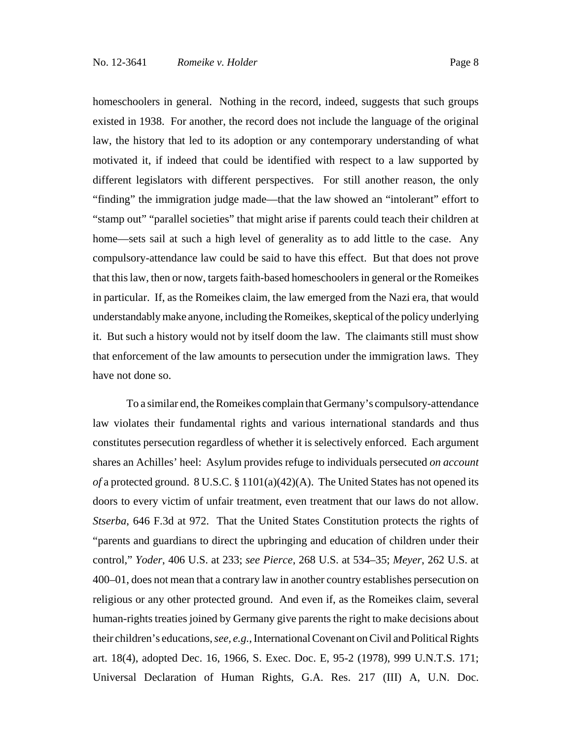have not done so.

homeschoolers in general. Nothing in the record, indeed, suggests that such groups existed in 1938. For another, the record does not include the language of the original law, the history that led to its adoption or any contemporary understanding of what motivated it, if indeed that could be identified with respect to a law supported by different legislators with different perspectives. For still another reason, the only "finding" the immigration judge made—that the law showed an "intolerant" effort to "stamp out" "parallel societies" that might arise if parents could teach their children at home—sets sail at such a high level of generality as to add little to the case. Any compulsory-attendance law could be said to have this effect. But that does not prove that this law, then or now, targets faith-based homeschoolers in general or the Romeikes in particular. If, as the Romeikes claim, the law emerged from the Nazi era, that would understandably make anyone, including the Romeikes, skeptical of the policy underlying it. But such a history would not by itself doom the law. The claimants still must show that enforcement of the law amounts to persecution under the immigration laws. They

To a similar end, the Romeikes complain that Germany's compulsory-attendance law violates their fundamental rights and various international standards and thus constitutes persecution regardless of whether it is selectively enforced. Each argument shares an Achilles' heel: Asylum provides refuge to individuals persecuted *on account of* a protected ground. 8 U.S.C. § 1101(a)(42)(A). The United States has not opened its doors to every victim of unfair treatment, even treatment that our laws do not allow. *Stserba*, 646 F.3d at 972. That the United States Constitution protects the rights of "parents and guardians to direct the upbringing and education of children under their control," *Yoder*, 406 U.S. at 233; *see Pierce*, 268 U.S. at 534–35; *Meyer*, 262 U.S. at 400–01, does not mean that a contrary law in another country establishes persecution on religious or any other protected ground. And even if, as the Romeikes claim, several human-rights treaties joined by Germany give parents the right to make decisions about their children's educations, *see, e.g.*, International Covenant on Civil and Political Rights art. 18(4), adopted Dec. 16, 1966, S. Exec. Doc. E, 95-2 (1978), 999 U.N.T.S. 171; Universal Declaration of Human Rights, G.A. Res. 217 (III) A, U.N. Doc.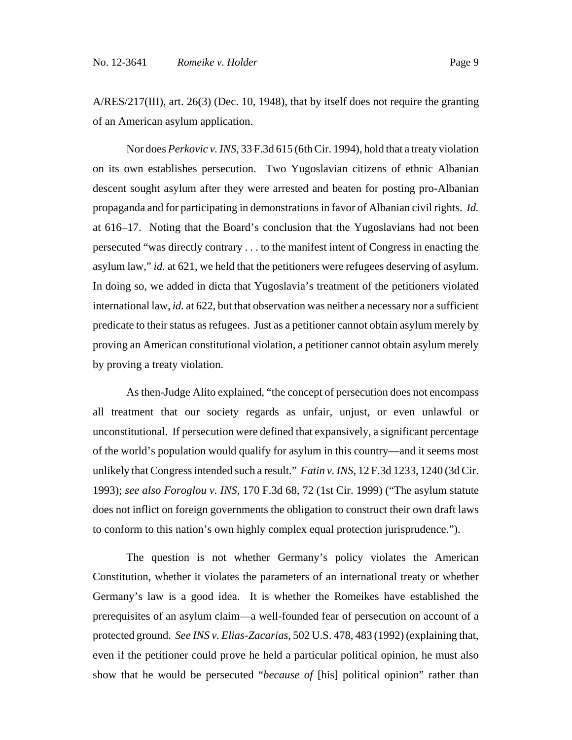A/RES/217(III), art. 26(3) (Dec. 10, 1948), that by itself does not require the granting of an American asylum application.

Nor does *Perkovic v. INS*, 33 F.3d 615 (6th Cir. 1994), hold that a treaty violation on its own establishes persecution. Two Yugoslavian citizens of ethnic Albanian descent sought asylum after they were arrested and beaten for posting pro-Albanian propaganda and for participating in demonstrations in favor of Albanian civil rights. *Id.* at 616–17. Noting that the Board's conclusion that the Yugoslavians had not been persecuted "was directly contrary . . . to the manifest intent of Congress in enacting the asylum law," *id.* at 621, we held that the petitioners were refugees deserving of asylum. In doing so, we added in dicta that Yugoslavia's treatment of the petitioners violated international law, *id.* at 622, but that observation was neither a necessary nor a sufficient predicate to their status as refugees. Just as a petitioner cannot obtain asylum merely by proving an American constitutional violation, a petitioner cannot obtain asylum merely by proving a treaty violation.

As then-Judge Alito explained, "the concept of persecution does not encompass all treatment that our society regards as unfair, unjust, or even unlawful or unconstitutional. If persecution were defined that expansively, a significant percentage of the world's population would qualify for asylum in this country—and it seems most unlikely that Congress intended such a result." *Fatin v. INS*, 12 F.3d 1233, 1240 (3d Cir. 1993); *see also Foroglou v. INS*, 170 F.3d 68, 72 (1st Cir. 1999) ("The asylum statute does not inflict on foreign governments the obligation to construct their own draft laws to conform to this nation's own highly complex equal protection jurisprudence.").

The question is not whether Germany's policy violates the American Constitution, whether it violates the parameters of an international treaty or whether Germany's law is a good idea. It is whether the Romeikes have established the prerequisites of an asylum claim—a well-founded fear of persecution on account of a protected ground. *See INS v. Elias-Zacarias*, 502 U.S. 478, 483 (1992) (explaining that, even if the petitioner could prove he held a particular political opinion, he must also show that he would be persecuted "*because of* [his] political opinion" rather than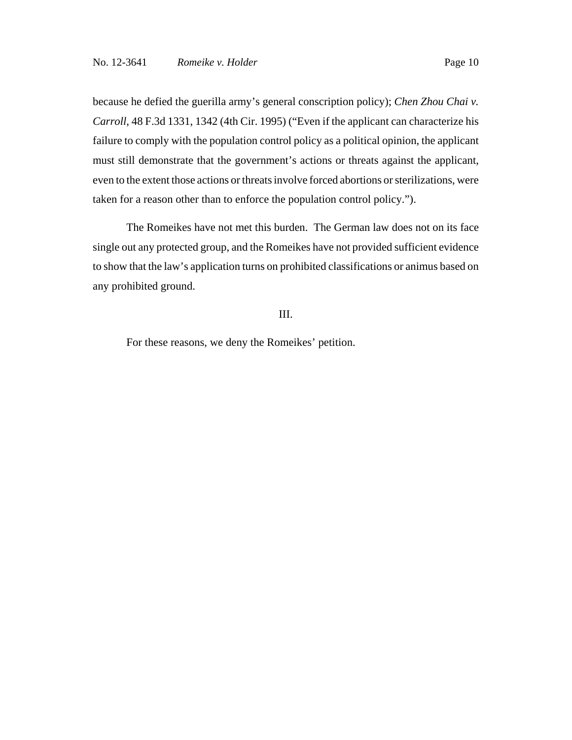because he defied the guerilla army's general conscription policy); *Chen Zhou Chai v. Carroll*, 48 F.3d 1331, 1342 (4th Cir. 1995) ("Even if the applicant can characterize his failure to comply with the population control policy as a political opinion, the applicant must still demonstrate that the government's actions or threats against the applicant, even to the extent those actions or threats involve forced abortions or sterilizations, were taken for a reason other than to enforce the population control policy.").

The Romeikes have not met this burden. The German law does not on its face single out any protected group, and the Romeikes have not provided sufficient evidence to show that the law's application turns on prohibited classifications or animus based on any prohibited ground.

## III.

For these reasons, we deny the Romeikes' petition.